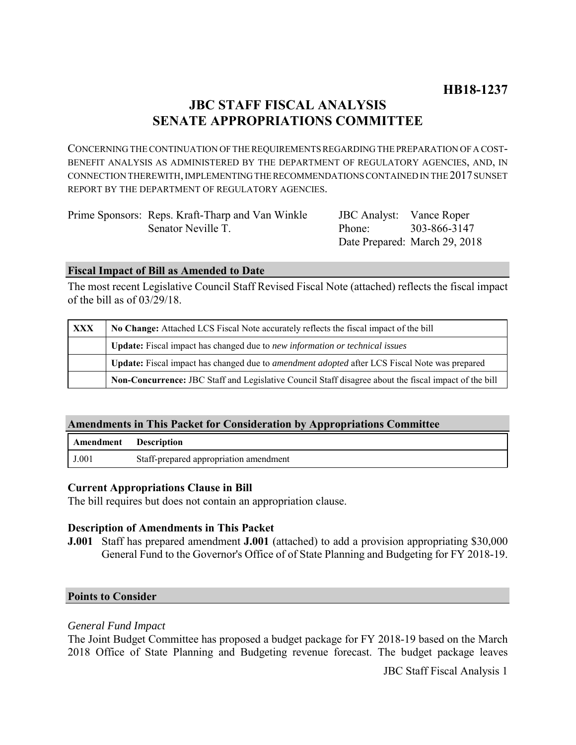# **JBC STAFF FISCAL ANALYSIS SENATE APPROPRIATIONS COMMITTEE**

CONCERNING THE CONTINUATION OF THE REQUIREMENTS REGARDING THE PREPARATION OF A COST-BENEFIT ANALYSIS AS ADMINISTERED BY THE DEPARTMENT OF REGULATORY AGENCIES, AND, IN CONNECTION THEREWITH, IMPLEMENTING THE RECOMMENDATIONS CONTAINED IN THE 2017 SUNSET REPORT BY THE DEPARTMENT OF REGULATORY AGENCIES.

| Prime Sponsors: Reps. Kraft-Tharp and Van Winkle |
|--------------------------------------------------|
| Senator Neville T.                               |

JBC Analyst: Vance Roper Phone: Date Prepared: March 29, 2018 303-866-3147

#### **Fiscal Impact of Bill as Amended to Date**

The most recent Legislative Council Staff Revised Fiscal Note (attached) reflects the fiscal impact of the bill as of 03/29/18.

| XXX | No Change: Attached LCS Fiscal Note accurately reflects the fiscal impact of the bill                 |  |
|-----|-------------------------------------------------------------------------------------------------------|--|
|     | Update: Fiscal impact has changed due to new information or technical issues                          |  |
|     | Update: Fiscal impact has changed due to <i>amendment adopted</i> after LCS Fiscal Note was prepared  |  |
|     | Non-Concurrence: JBC Staff and Legislative Council Staff disagree about the fiscal impact of the bill |  |

## **Amendments in This Packet for Consideration by Appropriations Committee**

| Amendment Description |                                        |
|-----------------------|----------------------------------------|
| J.001                 | Staff-prepared appropriation amendment |

### **Current Appropriations Clause in Bill**

The bill requires but does not contain an appropriation clause.

### **Description of Amendments in This Packet**

**J.001** Staff has prepared amendment **J.001** (attached) to add a provision appropriating \$30,000 General Fund to the Governor's Office of of State Planning and Budgeting for FY 2018-19.

### **Points to Consider**

### *General Fund Impact*

The Joint Budget Committee has proposed a budget package for FY 2018-19 based on the March 2018 Office of State Planning and Budgeting revenue forecast. The budget package leaves